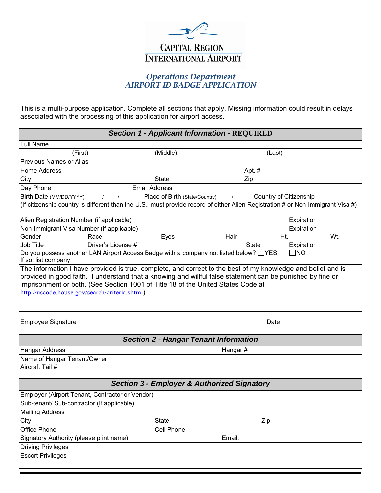

## *Operations Department AIRPORT ID BADGE APPLICATION*

This is a multi-purpose application. Complete all sections that apply. Missing information could result in delays associated with the processing of this application for airport access.

| <b>Section 1 - Applicant Information - REQUIRED</b>                                                                                                                                                                                               |                                              |              |                        |     |  |  |  |  |
|---------------------------------------------------------------------------------------------------------------------------------------------------------------------------------------------------------------------------------------------------|----------------------------------------------|--------------|------------------------|-----|--|--|--|--|
| <b>Full Name</b>                                                                                                                                                                                                                                  |                                              |              |                        |     |  |  |  |  |
| (First)                                                                                                                                                                                                                                           | (Middle)                                     |              | (Last)                 |     |  |  |  |  |
| <b>Previous Names or Alias</b>                                                                                                                                                                                                                    |                                              |              |                        |     |  |  |  |  |
| <b>Home Address</b>                                                                                                                                                                                                                               |                                              | Apt. #       |                        |     |  |  |  |  |
| City                                                                                                                                                                                                                                              | <b>State</b>                                 | Zip          |                        |     |  |  |  |  |
| Day Phone                                                                                                                                                                                                                                         | <b>Email Address</b>                         |              |                        |     |  |  |  |  |
| Birth Date (MM/DD/YYYY)                                                                                                                                                                                                                           | Place of Birth (State/Country)               |              | Country of Citizenship |     |  |  |  |  |
| (If citizenship country is different than the U.S., must provide record of either Alien Registration # or Non-Immigrant Visa #)                                                                                                                   |                                              |              |                        |     |  |  |  |  |
| Alien Registration Number (if applicable)                                                                                                                                                                                                         |                                              |              | Expiration             |     |  |  |  |  |
| Non-Immigrant Visa Number (if applicable)                                                                                                                                                                                                         |                                              |              | Expiration             |     |  |  |  |  |
| Gender<br>Race                                                                                                                                                                                                                                    | Eyes                                         | Hair         | Ht.                    | Wt. |  |  |  |  |
| Driver's License #<br>Job Title                                                                                                                                                                                                                   |                                              | <b>State</b> | Expiration             |     |  |  |  |  |
| Do you possess another LAN Airport Access Badge with a company not listed below? □ YES<br>If so, list company.<br>The information I have provided is true, complete, and correct to the best of my knowledge and belief and is                    |                                              |              | $\square$ NO           |     |  |  |  |  |
| provided in good faith. I understand that a knowing and willful false statement can be punished by fine or<br>imprisonment or both. (See Section 1001 of Title 18 of the United States Code at<br>http://uscode.house.gov/search/criteria.shtml). |                                              |              |                        |     |  |  |  |  |
| <b>Employee Signature</b>                                                                                                                                                                                                                         |                                              |              | Date                   |     |  |  |  |  |
|                                                                                                                                                                                                                                                   |                                              |              |                        |     |  |  |  |  |
|                                                                                                                                                                                                                                                   | <b>Section 2 - Hangar Tenant Information</b> |              |                        |     |  |  |  |  |
| <b>Hangar Address</b>                                                                                                                                                                                                                             | Hangar#                                      |              |                        |     |  |  |  |  |
| Name of Hangar Tenant/Owner                                                                                                                                                                                                                       |                                              |              |                        |     |  |  |  |  |
| Aircraft Tail #                                                                                                                                                                                                                                   |                                              |              |                        |     |  |  |  |  |
| <b>Section 3 - Employer &amp; Authorized Signatory</b>                                                                                                                                                                                            |                                              |              |                        |     |  |  |  |  |
| Employer (Airport Tenant, Contractor or Vendor)                                                                                                                                                                                                   |                                              |              |                        |     |  |  |  |  |
| Sub-tenant/ Sub-contractor (If applicable)                                                                                                                                                                                                        |                                              |              |                        |     |  |  |  |  |
| <b>Mailing Address</b>                                                                                                                                                                                                                            |                                              |              |                        |     |  |  |  |  |
| City                                                                                                                                                                                                                                              | <b>State</b>                                 | Zip          |                        |     |  |  |  |  |
| <b>Office Phone</b>                                                                                                                                                                                                                               | Cell Phone                                   |              |                        |     |  |  |  |  |
| Signatory Authority (please print name)                                                                                                                                                                                                           |                                              | Email:       |                        |     |  |  |  |  |
| <b>Driving Privileges</b>                                                                                                                                                                                                                         |                                              |              |                        |     |  |  |  |  |

Escort Privileges